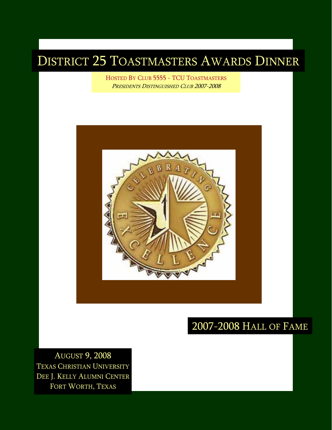### DISTRICT 25 TOASTMASTERS AWARDS DINNER

HOSTED BY CLUB 5555 - TCU TOASTMASTERS PRESIDENTS DISTINGUISHED CLUB 2007-2008



### 2007-2008 HALL OF FAME

AUGUST 9, 2008 TEXAS CHRISTIAN UNIVERSITY DEE J. KELLY ALUMNI CENTER FORT WORTH, TEXAS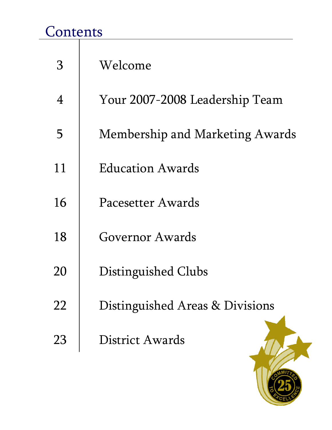# **Contents**

| З  | Welcome                                |
|----|----------------------------------------|
| 4  | Your 2007-2008 Leadership Team         |
| 5  | <b>Membership and Marketing Awards</b> |
| 11 | Education Awards                       |
| 16 | Pacesetter Awards                      |
| 18 | Governor Awards                        |
| 20 | Distinguished Clubs                    |
| 22 | Distinguished Areas & Divisions        |
| 23 | District Awards                        |

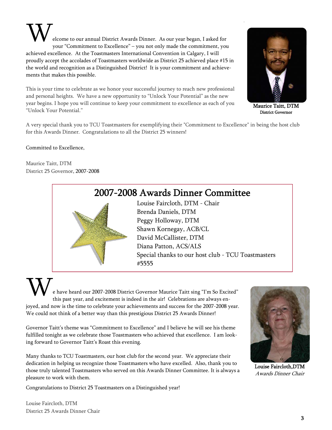elcome to our annual District Awards Dinner. As our year began, I asked for your "Commitment to Excellence" – you not only made the commitment, you achieved excellence. At the Toastmasters International Convention in Calgary, I will proudly accept the accolades of Toastmasters worldwide as District 25 achieved place #15 in the world and recognition as a Distinguished District! It is your commitment and achievements that makes this possible.  $\mathbf{W}_{\scriptscriptstyle{\text{ele}}\atop{\text{\tiny{you}}}}$ 

This is your time to celebrate as we honor your successful journey to reach new professional and personal heights. We have a new opportunity to "Unlock Your Potential" as the new year begins. I hope you will continue to keep your commitment to excellence as each of you "Unlock Your Potential."



Maurice Taitt, DTM District Governor

A very special thank you to TCU Toastmasters for exemplifying their "Commitment to Excellence" in being the host club for this Awards Dinner. Congratulations to all the District 25 winners!

Committed to Excellence,

Maurice Taitt, DTM District 25 Governor, 2007-2008

### 2007-2008 Awards Dinner Committee



Louise Faircloth, DTM - Chair Brenda Daniels, DTM Peggy Holloway, DTM Shawn Kornegay, ACB/CL David McCallister, DTM Diana Patton, ACS/ALS Special thanks to our host club - TCU Toastmasters #5555

e have heard our 2007-2008 District Governor Maurice Taitt sing "I'm So Excited" this past year, and excitement is indeed in the air! Celebrations are always enjoyed, and now is the time to celebrate your achievements and success for the 2007-2008 year. We could not think of a better way than this prestigious District 25 Awards Dinner!  $\mathbf{W}_{\scriptscriptstyle{\textnormal{\tiny{eh}}}\scriptscriptstyle{\textnormal{\tiny{th}}}}$ 

Governor Taitt's theme was "Commitment to Excellence" and I believe he will see his theme fulfilled tonight as we celebrate those Toastmasters who achieved that excellence. I am looking forward to Governor Taitt's Roast this evening.

Many thanks to TCU Toastmasters, our host club for the second year. We appreciate their dedication in helping us recognize those Toastmasters who have excelled. Also, thank you to those truly talented Toastmasters who served on this Awards Dinner Committee. It is always a pleasure to work with them.

Congratulations to District 25 Toastmasters on a Distinguished year!



Louise Faircloth,DTM Awards Dinner Chair

Louise Faircloth, DTM District 25 Awards Dinner Chair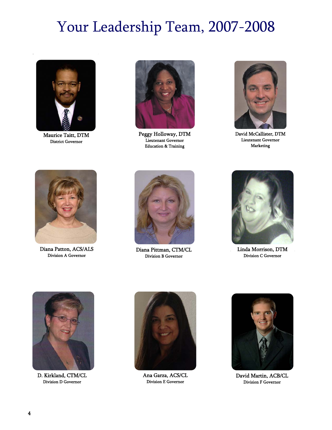# Your Leadership Team, 2007-2008



Maurice Taitt, DTM District Governor



Peggy Holloway, DTM Lieutenant Governor Education & Training



David McCallister, DTM Lieutenant Governor Marketing



Diana Patton, ACS/ALS



ana Patton, ACS/ALS<br>
Division A Governor<br>
Division B Governor Division B Governor



Linda Morrison, DTM Division C Governor



D. Kirkland, CTM/CL Division D Governor



Ana Garza, ACS/CL Division E Governor



David Martin, ACB/CL Division F Governor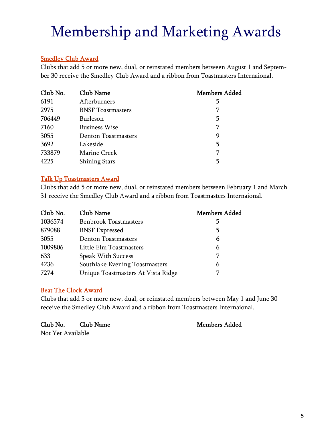# Membership and Marketing Awards

#### **Smedley Club Award**

Clubs that add 5 or more new, dual, or reinstated members between August 1 and September 30 receive the Smedley Club Award and a ribbon from Toastmasters Internaional.

| Club No. | Club Name                | <b>Members Added</b> |
|----------|--------------------------|----------------------|
| 6191     | Afterburners             | 5                    |
| 2975     | <b>BNSF</b> Toastmasters | 7                    |
| 706449   | Burleson                 | 5                    |
| 7160     | <b>Business Wise</b>     | 7                    |
| 3055     | Denton Toastmasters      | 9                    |
| 3692     | Lakeside                 | 5                    |
| 733879   | Marine Creek             | 7                    |
| 4225     | <b>Shining Stars</b>     | 5                    |

#### Talk Up Toastmasters Award

Clubs that add 5 or more new, dual, or reinstated members between February 1 and March 31 receive the Smedley Club Award and a ribbon from Toastmasters Internaional.

| Club No. | Club Name                          | <b>Members Added</b> |
|----------|------------------------------------|----------------------|
| 1036574  | <b>Benbrook Toastmasters</b>       | 5                    |
| 879088   | <b>BNSF</b> Expressed              | 5                    |
| 3055     | <b>Denton Toastmasters</b>         | 6                    |
| 1009806  | Little Elm Toastmasters            | 6                    |
| 633      | <b>Speak With Success</b>          | 7                    |
| 4236     | Southlake Evening Toastmasters     | 6                    |
| 7274     | Unique Toastmasters At Vista Ridge |                      |

#### Beat The Clock Award

Clubs that add 5 or more new, dual, or reinstated members between May 1 and June 30 receive the Smedley Club Award and a ribbon from Toastmasters Internaional.

Club No. Club Name Members Added

Not Yet Available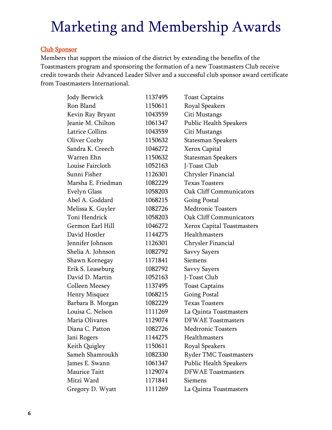#### Club Sponsor

Members that support the mission of the district by extending the benefits of the Toastmasters program and sponsoring the formation of a new Toastmasters Club receive credit towards their Advanced Leader Silver and a successful club sponsor award certificate from Toastmasters International.

| Jody Berwick           | 1137495 | <b>Toast Captains</b>             |
|------------------------|---------|-----------------------------------|
| Ron Bland              | 1150611 | <b>Royal Speakers</b>             |
| Kevin Ray Bryant       | 1043559 | Citi Mustangs                     |
| Jeanie M. Chilton      | 1061347 | Public Health Speakers            |
| <b>Latrice Collins</b> | 1043559 | Citi Mustangs                     |
| Oliver Cozby           | 1150632 | <b>Statesman Speakers</b>         |
| Sandra K. Creech       | 1046272 | Xerox Capital                     |
| Warren Ehn             | 1150632 | Statesman Speakers                |
| Louise Faircloth       | 1052163 | J-Toast Club                      |
| Sunni Fisher           | 1126301 | Chrysler Financial                |
| Marsha E. Friedman     | 1082229 | <b>Texas Toasters</b>             |
| Evelyn Glass           | 1058203 | <b>Oak Cliff Communicators</b>    |
| Abel A. Goddard        | 1068215 | <b>Going Postal</b>               |
| Melissa K. Guyler      | 1082726 | <b>Medtronic Toasters</b>         |
| Toni Hendrick          | 1058203 | <b>Oak Cliff Communicators</b>    |
| Germon Earl Hill       | 1046272 | <b>Xerox Capital Toastmasters</b> |
| David Hostler          | 1144275 | Healthmasters                     |
| Jennifer Johnson       | 1126301 | Chrysler Financial                |
| Shelia A. Johnson      | 1082792 | <b>Savvy Sayers</b>               |
| Shawn Kornegay         | 1171841 | Siemens                           |
| Erik S. Leaseburg      | 1082792 | Savvy Sayers                      |
| David D. Martin        | 1052163 | J-Toast Club                      |
| Colleen Meesey         | 1137495 | <b>Toast Captains</b>             |
| Henry Misquez          | 1068215 | <b>Going Postal</b>               |
| Barbara B. Morgan      | 1082229 | <b>Texas Toasters</b>             |
| Louisa C. Nelson       | 1111269 | La Quinta Toastmasters            |
| Maria Olivares         | 1129074 | <b>DFWAE</b> Toastmasters         |
| Diana C. Patton        | 1082726 | <b>Medtronic Toasters</b>         |
| Jani Rogers            | 1144275 | Healthmasters                     |
| Keith Quigley          | 1150611 | <b>Royal Speakers</b>             |
| Sameh Shamroukh        | 1082330 | <b>Ryder TMC Toastmasters</b>     |
| James E. Swann         | 1061347 | Public Health Speakers            |
| <b>Maurice Taitt</b>   | 1129074 | <b>DFWAE</b> Toastmasters         |
| Mitzi Ward             | 1171841 | Siemens                           |
| Gregory D. Wyatt       | 1111269 | La Quinta Toastmasters            |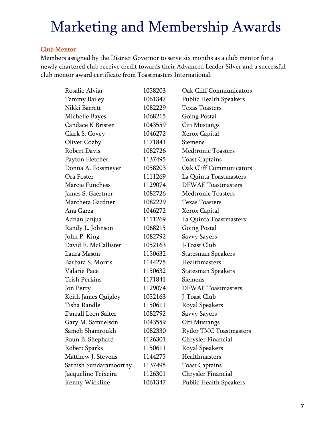#### Club Mentor

Members assigned by the District Governor to serve six months as a club mentor for a newly chartered club receive credit towards their Advanced Leader Silver and a successful club mentor award certificate from Toastmasters International.

| Rosalie Alviar         | 1058203 | <b>Oak Cliff Communicators</b> |
|------------------------|---------|--------------------------------|
| Tammy Bailey           | 1061347 | <b>Public Health Speakers</b>  |
| Nikki Barrett          | 1082229 | <b>Texas Toasters</b>          |
| Michelle Bayes         | 1068215 | <b>Going Postal</b>            |
| Candace K Brister      | 1043559 | Citi Mustangs                  |
| Clark S. Covey         | 1046272 | Xerox Capital                  |
| Oliver Cozby           | 1171841 | Siemens                        |
| Robert Davis           | 1082726 | <b>Medtronic Toasters</b>      |
| Payton Fletcher        | 1137495 | <b>Toast Captains</b>          |
| Donna A. Fossmeyer     | 1058203 | Oak Cliff Communicators        |
| Ora Foster             | 1111269 | La Quinta Toastmasters         |
| Marcie Funchess        | 1129074 | <b>DFWAE</b> Toastmasters      |
| James S. Gaertner      | 1082726 | <b>Medtronic Toasters</b>      |
| Marcheta Gardner       | 1082229 | <b>Texas Toasters</b>          |
| Ana Garza              | 1046272 | Xerox Capital                  |
| Adnan Janjua           | 1111269 | La Quinta Toastmasters         |
| Randy L. Johnson       | 1068215 | <b>Going Postal</b>            |
| John P. King           | 1082792 | <b>Savvy Sayers</b>            |
| David E. McCallister   | 1052163 | J-Toast Club                   |
| Laura Mason            | 1150632 | Statesman Speakers             |
| Barbara S. Morris      | 1144275 | Healthmasters                  |
| Valarie Pace           | 1150632 | Statesman Speakers             |
| <b>Trish Perkins</b>   | 1171841 | Siemens                        |
| Jon Perry              | 1129074 | <b>DFWAE</b> Toastmasters      |
| Keith James Quigley    | 1052163 | J-Toast Club                   |
| Tisha Randle           | 1150611 | Royal Speakers                 |
| Darrall Leon Salter    | 1082792 | <b>Savvy Sayers</b>            |
| Gary M. Samuelson      | 1043559 | Citi Mustangs                  |
| Sameh Shamroukh        | 1082330 | <b>Ryder TMC Toastmasters</b>  |
| Raun B. Shephard       | 1126301 | Chrysler Financial             |
| Robert Sparks          | 1150611 | <b>Royal Speakers</b>          |
| Matthew J. Stevens     | 1144275 | Healthmasters                  |
| Sathish Sundaramoorthy | 1137495 | <b>Toast Captains</b>          |
| Jacqueline Teixeira    | 1126301 | Chrysler Financial             |
| Kenny Wickline         | 1061347 | <b>Public Health Speakers</b>  |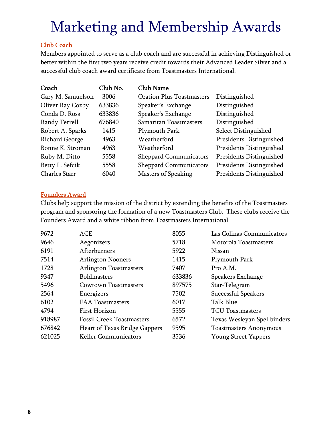#### Club Coach

Members appointed to serve as a club coach and are successful in achieving Distinguished or better within the first two years receive credit towards their Advanced Leader Silver and a successful club coach award certificate from Toastmasters International.

| Coach             | Club No. | <b>Club Name</b>                 |                          |
|-------------------|----------|----------------------------------|--------------------------|
| Gary M. Samuelson | 3006     | <b>Oration Plus Toastmasters</b> | Distinguished            |
| Oliver Ray Cozby  | 633836   | Speaker's Exchange               | Distinguished            |
| Conda D. Ross     | 633836   | Speaker's Exchange               | Distinguished            |
| Randy Terrell     | 676840   | Samaritan Toastmasters           | Distinguished            |
| Robert A. Sparks  | 1415     | Plymouth Park                    | Select Distinguished     |
| Richard George    | 4963     | Weatherford                      | Presidents Distinguished |
| Bonne K. Stroman  | 4963     | Weatherford                      | Presidents Distinguished |
| Ruby M. Ditto     | 5558     | <b>Sheppard Communicators</b>    | Presidents Distinguished |
| Betty L. Sefcik   | 5558     | <b>Sheppard Communicators</b>    | Presidents Distinguished |
| Charles Starr     | 6040     | <b>Masters of Speaking</b>       | Presidents Distinguished |

#### Founders Award

Clubs help support the mission of the district by extending the benefits of the Toastmasters program and sponsoring the formation of a new Toastmasters Club. These clubs receive the Founders Award and a white ribbon from Toastmasters International.

| 9672   | <b>ACE</b>                       | 8055   | Las Colinas Communicators     |
|--------|----------------------------------|--------|-------------------------------|
| 9646   | Aegonizers                       | 5718   | Motorola Toastmasters         |
| 6191   | Afterburners                     | 5922   | Nissan                        |
| 7514   | <b>Arlington Nooners</b>         | 1415   | Plymouth Park                 |
| 1728   | <b>Arlington Toastmasters</b>    | 7407   | Pro A.M.                      |
| 9347   | <b>Boldmasters</b>               | 633836 | Speakers Exchange             |
| 5496   | Cowtown Toastmasters             | 897575 | Star-Telegram                 |
| 2564   | Energizers                       | 7502   | Successful Speakers           |
| 6102   | <b>FAA Toastmasters</b>          | 6017   | Talk Blue                     |
| 4794   | First Horizon                    | 5555   | <b>TCU Toastmasters</b>       |
| 918987 | <b>Fossil Creek Toastmasters</b> | 6572   | Texas Wesleyan Spellbinders   |
| 676842 | Heart of Texas Bridge Gappers    | 9595   | <b>Toastmasters Anonymous</b> |
| 621025 | <b>Keller Communicators</b>      | 3536   | <b>Young Street Yappers</b>   |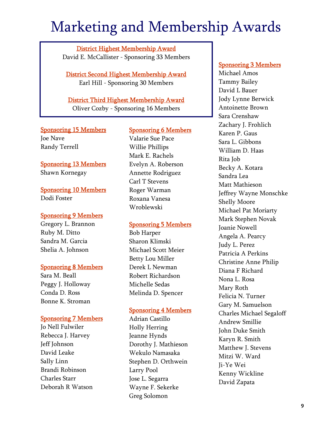District Highest Membership Award David E. McCallister - Sponsoring 33 Members

District Second Highest Membership Award Earl Hill - Sponsoring 30 Members

District Third Highest Membership Award Oliver Cozby - Sponsoring 16 Members

#### Sponsoring 15 Members Joe Nave Randy Terrell

Sponsoring 13 Members Shawn Kornegay

Sponsoring 10 Members Dodi Foster

#### Sponsoring 9 Members

Gregory L. Brannon Ruby M. Ditto Sandra M. Garcia Shelia A. Johnson

#### Sponsoring 8 Members

Sara M. Beall Peggy J. Holloway Conda D. Ross Bonne K. Stroman

#### Sponsoring 7 Members

Jo Nell Fulwiler Rebecca J. Harvey Jeff Johnson David Leake Sally Linn Brandi Robinson Charles Starr Deborah R Watson

#### Sponsoring 6 Members

Valarie Sue Pace Willie Phillips Mark E. Rachels Evelyn A. Roberson Annette Rodriguez Carl T Stevens Roger Warman Roxana Vanesa Wroblewski

#### Sponsoring 5 Members

Bob Harper Sharon Klimski Michael Scott Meier Betty Lou Miller Derek L Newman Robert Richardson Michelle Sedas Melinda D. Spencer

#### Sponsoring 4 Members

Adrian Castillo Holly Herring Jeanne Hynds Dorothy J. Mathieson Wekulo Namasaka Stephen D. Orthwein Larry Pool Jose L. Segarra Wayne F. Sekerke Greg Solomon

#### Sponsoring 3 Members

Michael Amos Tammy Bailey David L Bauer Jody Lynne Berwick Antoinette Brown Sara Crenshaw Zachary J. Frohlich Karen P. Gaus Sara L. Gibbons William D. Haas Rita Job Becky A. Kotara Sandra Lea Matt Mathieson Jeffrey Wayne Monschke Shelly Moore Michael Pat Moriarty Mark Stephen Novak Joanie Nowell Angela A. Pearcy Judy L. Perez Patricia A Perkins Christine Anne Philip Diana F Richard Nona L. Rosa Mary Roth Felicia N. Turner Gary M. Samuelson Charles Michael Segaloff Andrew Smillie John Duke Smith Karyn R. Smith Matthew J. Stevens Mitzi W. Ward Ji-Ye Wei Kenny Wickline David Zapata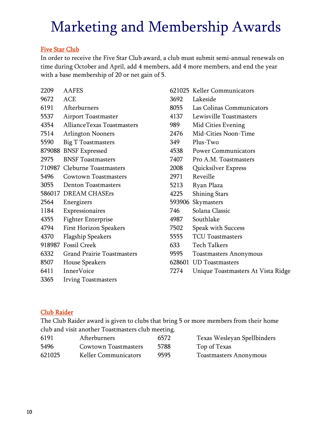#### Five Star Club

In order to receive the Five Star Club award, a club must submit semi-annual renewals on time during October and April, add 4 members, add 4 more members, and end the year with a base membership of 20 or net gain of 5.

| 2209   | <b>AAFES</b>                      |
|--------|-----------------------------------|
| 9672   | <b>ACE</b>                        |
| 6191   | Afterburners                      |
| 5537   | <b>Airport Toastmaster</b>        |
| 4354   | AllianceTexas Toastmasters        |
| 7514   | <b>Arlington Nooners</b>          |
| 5590   | <b>Big T Toastmasters</b>         |
| 879088 | <b>BNSF Expressed</b>             |
| 2975   | <b>BNSF</b> Toastmasters          |
|        | 710987 Cleburne Toastmasters      |
| 5496   | <b>Cowtown Toastmasters</b>       |
| 3055   | <b>Denton Toastmasters</b>        |
|        | 586017 DREAM CHASErs              |
| 2564   | Energizers                        |
| 1184   | Expressionaires                   |
| 4355   | <b>Fighter Enterprise</b>         |
| 4794   | <b>First Horizon Speakers</b>     |
| 4370   | <b>Flagship Speakers</b>          |
|        | 918987 Fossil Creek               |
| 6332   | <b>Grand Prairie Toastmasters</b> |
| 8507   | <b>House Speakers</b>             |
| 6411   | InnerVoice                        |
| 3365   | <b>Irving Toastmasters</b>        |

621025 Keller Communicators 3692 Lakeside 8055 Las Colinas Communicators 4137 Lewisville Toastmasters 989 Mid Cities Evening 2476 Mid-Cities Noon-Time 349 Plus-Two 4538 Power Communicators 7407 Pro A.M. Toastmasters 2008 Quicksilver Express 2971 Reveille 5213 Ryan Plaza 4225 Shining Stars 593906 Skymasters 746 Solana Classic 4987 Southlake 7502 Speak with Success 5555 TCU Toastmasters 633 Tech Talkers 9595 Toastmasters Anonymous 628601 UD Toastmasters 7274 Unique Toastmasters At Vista Ridge

#### Club Raider

The Club Raider award is given to clubs that bring 5 or more members from their home club and visit another Toastmasters club meeting.

| 6191   | Afterburners         | 6572 | Texas Wesleyan Spellbinders   |
|--------|----------------------|------|-------------------------------|
| 5496   | Cowtown Toastmasters | 5788 | Top of Texas                  |
| 621025 | Keller Communicators | 9595 | <b>Toastmasters Anonymous</b> |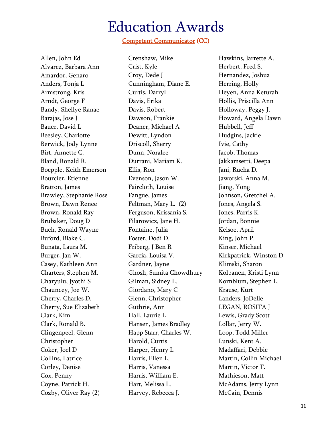### Education Awards

#### Competent Communicator (CC)

Allen, John Ed Alvarez, Barbara Ann Amardor, Genaro Anders, Tonja L Armstrong, Kris Arndt, George F Bandy, Shellye Ranae Barajas, Jose J Bauer, David L Beesley, Charlotte Berwick, Jody Lynne Birt, Annette C. Bland, Ronald R. Boepple, Keith Emerson Bourcier, Etienne Bratton, James Brawley, Stephanie Rose Brown, Dawn Renee Brown, Ronald Ray Brubaker, Doug D Buch, Ronald Wayne Buford, Blake C. Bunata, Laura M. Burger, Jan W. Casey, Kathleen Ann Charters, Stephen M. Charyulu, Jyothi S Chauncey, Joe W. Cherry, Charles D. Cherry, Sue Elizabeth Clark, Kim Clark, Ronald B. Clingenpeel, Glenn Christopher Coker, Joel D Collins, Latrice Corley, Denise Cox, Penny Coyne, Patrick H. Cozby, Oliver Ray (2)

Crenshaw, Mike Crist, Kyle Croy, Dede J Cunningham, Diane E. Curtis, Darryl Davis, Erika Davis, Robert Dawson, Frankie Deaner, Michael A Dewitt, Lyndon Driscoll, Sherry Dunn, Noralee Durrani, Mariam K. Ellis, Ron Evenson, Jason W. Faircloth, Louise Fangue, James Feltman, Mary L. (2) Ferguson, Krissania S. Filarowicz, Jane H. Fontaine, Julia Foster, Dodi D. Friberg, J Ben R Garcia, Louisa V. Gardner, Jayne Ghosh, Sumita Chowdhury Gilman, Sidney L. Giordano, Mary C Glenn, Christopher Guthrie, Ann Hall, Laurie L Hansen, James Bradley Happ Starr, Charles W. Harold, Curtis Harper, Henry L Harris, Ellen L. Harris, Vanessa Harris, William E. Hart, Melissa L. Harvey, Rebecca J.

Hawkins, Jarrette A. Herbert, Fred S. Hernandez, Joshua Herring, Holly Heyen, Anna Keturah Hollis, Priscilla Ann Holloway, Peggy J. Howard, Angela Dawn Hubbell, Jeff Hudgins, Jackie Ivie, Cathy Jacob, Thomas Jakkamsetti, Deepa Jani, Rucha D. Jaworski, Anna M. Jiang, Yong Johnson, Gretchel A. Jones, Angela S. Jones, Parris K. Jordan, Bonnie Kelsoe, April King, John P. Kinser, Michael Kirkpatrick, Winston D Klimski, Sharon Kolpanen, Kristi Lynn Kornblum, Stephen L. Krause, Kurt Landers, JoDelle LEGAN, ROSITA J Lewis, Grady Scott Lollar, Jerry W. Loop, Todd Miller Lunski, Kent A. Madaffari, Debbie Martin, Collin Michael Martin, Victor T. Mathieson, Matt McAdams, Jerry Lynn McCain, Dennis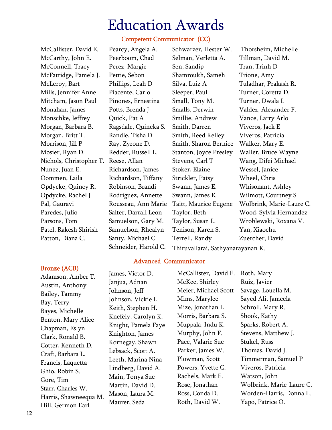### Education Awards

#### Competent Communicator (CC)

McCallister, David E. McCarthy, John E. McConnell, Tracy McFatridge, Pamela J. McLeroy, Bart Mills, Jennifer Anne Mitcham, Jason Paul Monahan, James Monschke, Jeffrey Morgan, Barbara B. Morgan, Britt T. Morrison, Jill P Mosier, Ryan D. Nichols, Christopher T. Reese, Allan Nunez, Juan E. Oommen, Laila Opdycke, Quincy R. Opdycke, Rachel J Pal, Gauravi Paredes, Julio Parsons, Tom Patel, Rakesh Shirish Patton, Diana C.

Pearcy, Angela A. Peerboom, Chad Perez, Margie Pettie, Sebon Phillips, Leah D Piacente, Carlo Pinones, Ernestina Potts, Brenda J Quick, Pat A Ragsdale, Quineka S. Randle, Tisha D Ray, Zyrone D. Redder, Russell L. Richardson, James Richardson, Tiffany Robinson, Brandi Rodriguez, Annette Rousseau, Ann Marie Salter, Darrall Leon Samuelson, Gary M. Samuelson, Rhealyn Santy, Michael C Schneider, Harold C.

Schwarzer, Hester W. Selman, Verletta A. Sen, Sandip Shamroukh, Sameh Silva, Luiz A Sleeper, Paul Small, Tony M. Smalls, Derwin Smillie, Andrew Smith, Darren Smith, Reed Kelley Smith, Sharon Bernice Stanton, Joyce Presley Stevens, Carl T Stoker, Elaine Strickler, Patsy Swann, James E. Swann, James E. Taitt, Maurice Eugene Taylor, Beth Taylor, Susan L. Tenison, Karen S. Terrell, Randy Thiruvallarai, Sathyanarayanan K.

 Thorsheim, Michelle Tillman, David M. Tran, Trinh D Trione, Amy Tuladhar, Prakash R. Turner, Coretta D. Turner, Dwala L Valdez, Alexander F. Vance, Larry Arlo Viveros, Jack E Viveros, Patricia Walker, Mary E. Waller, Bruce Wayne Wang, Difei Michael Wessel, Janice Wheel, Chris Whisonant, Ashley Wilmott, Courtney S Wolbrink, Marie-Laure C. Wood, Sylvia Hernandez Wroblewski, Roxana V. Yan, Xiaochu Zuercher, David

Advanced Communicator

#### Bronze (ACB)

Adamson, Amber T. Austin, Anthony Bailey, Tammy Bay, Terry Bayes, Michelle Benton, Mary Alice Chapman, Eslyn Clark, Ronald B. Cotter, Kenneth D. Craft, Barbara L. Francis, Laquetta Ghio, Robin S. Gore, Tim Starr, Charles W. Harris, Shawneequa M. Hill, Germon Earl

James, Victor D. Janjua, Adnan Johnson, Jeff Johnson, Vickie L Keith, Stephen H. Knefely, Carolyn K. Knight, Pamela Faye Knighton, James Kornegay, Shawn Lebsack, Scott A. Leeth, Marina Nina Lindberg, David A. Main, Tonya Sue Martin, David D. Mason, Laura M. Maurer, Seda

McCallister, David E. McKee, Shirley Meier, Michael Scott Mims, Marylee Mize, Jonathan L Morris, Barbara S. Muppala, Indu K. Murphy, John F. Pace, Valarie Sue Parker, James W. Plowman, Scott Powers, Yvette C. Rachels, Mark E. Rose, Jonathan Ross, Conda D. Roth, David W.

Roth, Mary Ruiz, Javier Savage, Louella M. Sayed Ali, Jameela Schroll, Mary R. Shook, Kathy Sparks, Robert A. Stevens, Matthew J. Stukel, Russ Thomas, David J. Timmerman, Samuel P Viveros, Patricia Watson, John Wolbrink, Marie-Laure C. Worden-Harris, Donna L. Yapo, Patrice O.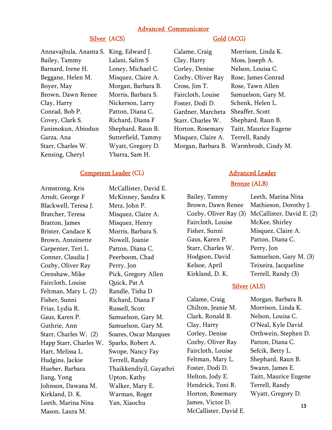#### Advanced Communicator

#### Silver (ACS) Gold (ACG)

| King, Edward J.<br>Annavajhula, Ananta S. |
|-------------------------------------------|
| Lalani, Salim S                           |
| Loney, Michael C.                         |
| Misquez, Claire A.                        |
| Morgan, Barbara B.                        |
| Morris, Barbara S.                        |
| Nickerson, Larry                          |
| Patton, Diana C.                          |
| Richard, Diana F                          |
| Shephard, Raun B.                         |
| Sutterfield, Tammy                        |
| Wyatt, Gregory D.                         |
| Ybarra, Sam H.                            |
|                                           |

#### Competent Leader (CL)

Armstrong, Kris Arndt, George F Blackwell, Teresa J. Bratcher, Teresa Bratton, James Brister, Candace K Brown, Antoinette Carpenter, Teri L. Conner, Claudia J Cozby, Oliver Ray Crenshaw, Mike Faircloth, Louise Feltman, Mary L. (2) Fisher, Sunni Frias, Lydia R. Gaus, Karen P. Guthrie, Ann Starr, Charles W. (2) Happ Starr, Charles W. Hart, Melissa L. Hudgins, Jackie Hueber, Barbara Jiang, Yong Johnson, Dawana M. Kirkland, D. K. Leeth, Marina Nina Mason, Laura M.

McCallister, David E. McKinney, Sandra K Metz, John P. Misquez, Claire A. Misquez, Henry Morris, Barbara S. Nowell, Joanie Patton, Diana C. Peerboom, Chad Perry, Jon Pick, Gregory Allen Quick, Pat A Randle, Tisha D Richard, Diana F Russell, Scott Samuelson, Gary M. Samuelson, Gary M. Soares, Oscar Marques Sparks, Robert A. Swope, Nancy Fay Terrell, Randy Thaikkendiyil, Gayathri Upton, Kathy Walker, Mary E. Warman, Roger Yan, Xiaochu

Calame, Craig Clay, Harry Corley, Denise Cozby, Oliver Ray Cross, Jim T. Faircloth, Louise Foster, Dodi D. Gardner, Marcheta Starr, Charles W. Horton, Rosemary Misquez, Claire A. Morgan, Barbara B. Warmbrodt, Cindy M. Morrison, Linda K. Moss, Joseph A. Nelson, Louisa C. Rose, James Conrad Rose, Tawn Allen Samuelson, Gary M. Schenk, Helen L. Sheaffer, Scott Shephard, Raun B. Taitt, Maurice Eugene Terrell, Randy

### Advanced Leader

#### Bronze (ALB)

Bailey, Tammy Brown, Dawn Renee Cozby, Oliver Ray (3) Faircloth, Louise Fisher, Sunni Gaus, Karen P. Starr, Charles W. Hodgson, David Kelsoe, April Kirkland, D. K.

Leeth, Marina Nina Mathieson, Dorothy J. McCallister, David E. (2) McKee, Shirley Misquez, Claire A. Patton, Diana C. Perry, Jon Samuelson, Gary M. (3) Teixeira, Jacqueline Terrell, Randy (3)

#### Silver (ALS)

Calame, Craig Chilton, Jeanie M. Clark, Ronald B. Clay, Harry Corley, Denise Cozby, Oliver Ray Faircloth, Louise Feltman, Mary L. Foster, Dodi D. Helton, Jody E. Hendrick, Toni R. Horton, Rosemary James, Victor D. McCallister, David E. Morgan, Barbara B. Morrison, Linda K. Nelson, Louisa C. O'Neal, Kyle David Orthwein, Stephen D. Patton, Diana C. Sefcik, Betty L. Shephard, Raun B. Swann, James E. Taitt, Maurice Eugene Terrell, Randy Wyatt, Gregory D.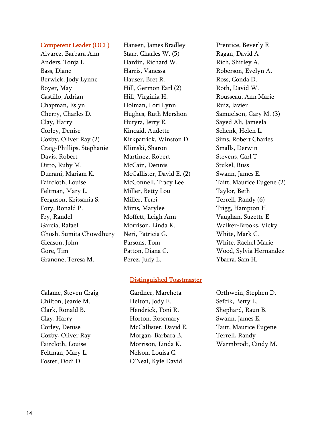#### Competent Leader (OCL)

Alvarez, Barbara Ann Anders, Tonja L Bass, Diane Berwick, Jody Lynne Boyer, May Castillo, Adrian Chapman, Eslyn Cherry, Charles D. Clay, Harry Corley, Denise Cozby, Oliver Ray (2) Craig-Phillips, Stephanie Davis, Robert Ditto, Ruby M. Durrani, Mariam K. Faircloth, Louise Feltman, Mary L. Ferguson, Krissania S. Fory, Ronald P. Fry, Randel Garcia, Rafael Ghosh, Sumita Chowdhury Gleason, John Gore, Tim Granone, Teresa M.

Hansen, James Bradley Starr, Charles W. (5) Hardin, Richard W. Harris, Vanessa Hauser, Bret R. Hill, Germon Earl (2) Hill, Virginia H. Holman, Lori Lynn Hughes, Ruth Mershon Hutyra, Jerry E. Kincaid, Audette Kirkpatrick, Winston D Klimski, Sharon Martinez, Robert McCain, Dennis McCallister, David E. (2) McConnell, Tracy Lee Miller, Betty Lou Miller, Terri Mims, Marylee Moffett, Leigh Ann Morrison, Linda K. Neri, Patricia G. Parsons, Tom Patton, Diana C. Perez, Judy L.

#### Distinguished Toastmaster

Calame, Steven Craig Chilton, Jeanie M. Clark, Ronald B. Clay, Harry Corley, Denise Cozby, Oliver Ray Faircloth, Louise Feltman, Mary L. Foster, Dodi D.

Gardner, Marcheta Helton, Jody E. Hendrick, Toni R. Horton, Rosemary McCallister, David E. Morgan, Barbara B. Morrison, Linda K. Nelson, Louisa C. O'Neal, Kyle David

Prentice, Beverly E Ragan, David A Rich, Shirley A. Roberson, Evelyn A. Ross, Conda D. Roth, David W. Rousseau, Ann Marie Ruiz, Javier Samuelson, Gary M. (3) Sayed Ali, Jameela Schenk, Helen L. Sims, Robert Charles Smalls, Derwin Stevens, Carl T Stukel, Russ Swann, James E. Taitt, Maurice Eugene (2) Taylor, Beth Terrell, Randy (6) Trigg, Hampton H. Vaughan, Suzette E Walker-Brooks, Vicky White, Mark C. White, Rachel Marie Wood, Sylvia Hernandez Ybarra, Sam H.

Orthwein, Stephen D. Sefcik, Betty L. Shephard, Raun B. Swann, James E. Taitt, Maurice Eugene Terrell, Randy Warmbrodt, Cindy M.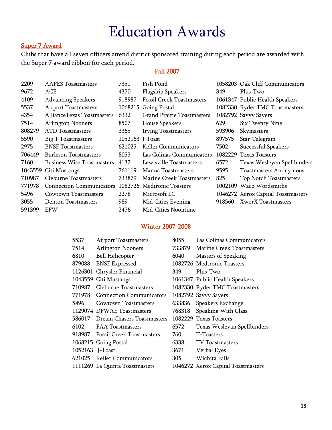### Education Awards

#### Super 7 Award

Clubs that have all seven officers attend district sponsored training during each period are awarded with the Super 7 award ribbon for each period.

#### Fall 2007

| 2209    | <b>AAFES</b> Toastmasters         | 7351            | Fish Pond                         |         | 1058203 Oak Cliff Communicators    |
|---------|-----------------------------------|-----------------|-----------------------------------|---------|------------------------------------|
| 9672    | ACE                               | 4370            | <b>Flagship Speakers</b>          | 349     | Plus-Two                           |
| 4109    | <b>Advancing Speakers</b>         | 918987          | <b>Fossil Creek Toastmasters</b>  |         | 1061347 Public Health Speakers     |
| 5537    | <b>Airport Toastmasters</b>       | 1068215         | Going Postal                      |         | 1082330 Ryder TMC Toastmasters     |
| 4354    | AllianceTexas Toastmasters        | 6332            | <b>Grand Prairie Toastmasters</b> |         | 1082792 Savvy Sayers               |
| 7514    | <b>Arlington Nooners</b>          | 8507            | House Speakers                    | 629     | Six Twenty Nine                    |
| 808279  | ATD Toastmasters                  | 3365            | <b>Irving Toastmasters</b>        | 593906  | Skymasters                         |
| 5590    | Big T Toastmasters                | 1052163 J-Toast |                                   | 897575  | Star-Telegram                      |
| 2975    | <b>BNSF</b> Toastmasters          | 621025          | Keller Communicators              | 7502    | Successful Speakers                |
| 706449  | <b>Burleson Toastmasters</b>      | 8055            | Las Colinas Communicators         | 1082229 | <b>Texas Toasters</b>              |
| 7160    | <b>Business Wise Toastmasters</b> | 4137            | Lewisville Toastmasters           | 6572    | Texas Wesleyan Spellbinders        |
| 1043559 | Citi Mustangs                     | 761119          | Manna Toastmasters                | 9595    | <b>Toastmasters Anonymous</b>      |
| 710987  | Cleburne Toastmasters             | 733879          | Marine Creek Toastmasters         | 825     | Top Notch Toastmasters             |
| 771978  | <b>Connection Communicators</b>   |                 | 1082726 Medtronic Toasters        |         | 1002109 Waco Wordsmiths            |
| 5496    | Cowtown Toastmasters              | 2278            | Microsoft LC                      |         | 1046272 Xerox Capital Toastmasters |
| 3055    | <b>Denton Toastmasters</b>        | 989             | Mid Cities Evening                | 918560  | <b>XworX</b> Toastmasters          |
| 591399  | <b>EFW</b>                        | 2476            | Mid-Cities Noontime               |         |                                    |

#### Winter 2007-2008

| 5537            | <b>Airport Toastmasters</b>      | 8055   | Las Colinas Communicators          |
|-----------------|----------------------------------|--------|------------------------------------|
| 7514            | <b>Arlington Nooners</b>         | 733879 | Marine Creek Toastmasters          |
| 6810            | <b>Bell Helicopter</b>           | 6040   | <b>Masters of Speaking</b>         |
| 879088          | <b>BNSF Expressed</b>            |        | 1082726 Medtronic Toasters         |
| 1126301         | Chrysler Financial               | 349    | Plus-Two                           |
|                 | 1043559 Citi Mustangs            |        | 1061347 Public Health Speakers     |
| 710987          | Cleburne Toastmasters            |        | 1082330 Ryder TMC Toastmasters     |
| 771978          | <b>Connection Communicators</b>  |        | 1082792 Savvy Sayers               |
| 5496            | <b>Cowtown Toastmasters</b>      | 633836 | Speakers Exchange                  |
|                 | 1129074 DFWAE Toastmasters       | 768318 | Speaking With Class                |
| 586017          | Dream Chasers Toastmasters       |        | 1082229 Texas Toasters             |
| 6102            | <b>FAA Toastmasters</b>          | 6572   | Texas Wesleyan Spellbinders        |
|                 | 918987 Fossil Creek Toastmasters | 760    | T-Toasters                         |
|                 | 1068215 Going Postal             | 6338   | TV Toastmasters                    |
| 1052163 J-Toast |                                  | 3671   | Verbal Eyes                        |
| 621025          | <b>Keller Communicators</b>      | 305    | Wichita Falls                      |
|                 | 1111269 La Quinta Toastmasters   |        | 1046272 Xerox Capital Toastmasters |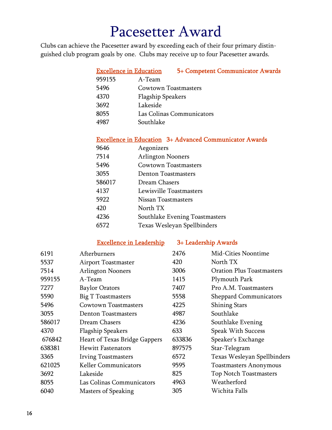### Pacesetter Award

Clubs can achieve the Pacesetter award by exceeding each of their four primary distinguished club program goals by one. Clubs may receive up to four Pacesetter awards.

| <b>Excellence in Education</b> | 5+ Competent Communicator Awards |
|--------------------------------|----------------------------------|
| 959155                         | A-Team                           |
| 5496                           | <b>Cowtown Toastmasters</b>      |
| 4370                           | <b>Flagship Speakers</b>         |
| 3692                           | Lakeside                         |
| 8055                           | Las Colinas Communicators        |
| 4987                           | Southlake                        |
|                                |                                  |

#### Excellence in Education 3+ Advanced Communicator Awards

| 9646   | Aegonizers                     |
|--------|--------------------------------|
| 7514   | <b>Arlington Nooners</b>       |
| 5496   | Cowtown Toastmasters           |
| 3055   | <b>Denton Toastmasters</b>     |
| 586017 | Dream Chasers                  |
| 4137   | Lewisville Toastmasters        |
| 5922   | Nissan Toastmasters            |
| 420    | North TX                       |
| 4236   | Southlake Evening Toastmasters |
| 6572   | Texas Wesleyan Spellbinders    |

Excellence in Leadership 3+ Leadership Awards

| 6191   | Afterburners                  | 2476   | <b>Mid-Cities Noontime</b>       |
|--------|-------------------------------|--------|----------------------------------|
| 5537   | <b>Airport Toastmaster</b>    | 420    | North TX                         |
| 7514   | <b>Arlington Nooners</b>      | 3006   | <b>Oration Plus Toastmasters</b> |
| 959155 | $A$ -Team                     | 1415   | Plymouth Park                    |
| 7277   | <b>Baylor Orators</b>         | 7407   | Pro A.M. Toastmasters            |
| 5590   | <b>Big T Toastmasters</b>     | 5558   | <b>Sheppard Communicators</b>    |
| 5496   | <b>Cowtown Toastmasters</b>   | 4225   | <b>Shining Stars</b>             |
| 3055   | <b>Denton Toastmasters</b>    | 4987   | Southlake                        |
| 586017 | Dream Chasers                 | 4236   | Southlake Evening                |
| 4370   | <b>Flagship Speakers</b>      | 633    | Speak With Success               |
| 676842 | Heart of Texas Bridge Gappers | 633836 | Speaker's Exchange               |
| 638381 | <b>Hewitt Fastenators</b>     | 897575 | Star-Telegram                    |
| 3365   | <b>Irving Toastmasters</b>    | 6572   | Texas Wesleyan Spellbinders      |
| 621025 | <b>Keller Communicators</b>   | 9595   | <b>Toastmasters Anonymous</b>    |
| 3692   | Lakeside                      | 825    | <b>Top Notch Toastmasters</b>    |
| 8055   | Las Colinas Communicators     | 4963   | Weatherford                      |
| 6040   | <b>Masters of Speaking</b>    | 305    | Wichita Falls                    |
|        |                               |        |                                  |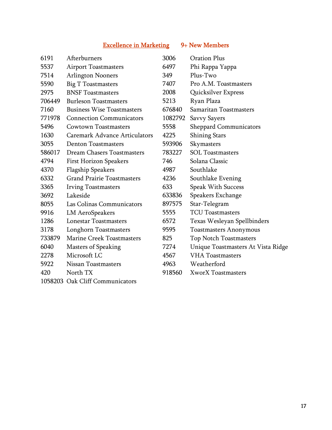### Excellence in Marketing 9+ New Members

| 6191   | Afterburners                         | 3006    | <b>Oration Plus</b>                |
|--------|--------------------------------------|---------|------------------------------------|
| 5537   | <b>Airport Toastmasters</b>          | 6497    | Phi Rappa Yappa                    |
| 7514   | <b>Arlington Nooners</b>             | 349     | Plus-Two                           |
| 5590   | Big T Toastmasters                   | 7407    | Pro A.M. Toastmasters              |
| 2975   | <b>BNSF Toastmasters</b>             | 2008    | Quicksilver Express                |
| 706449 | <b>Burleson Toastmasters</b>         | 5213    | Ryan Plaza                         |
| 7160   | <b>Business Wise Toastmasters</b>    | 676840  | Samaritan Toastmasters             |
| 771978 | <b>Connection Communicators</b>      | 1082792 | <b>Savvy Sayers</b>                |
| 5496   | <b>Cowtown Toastmasters</b>          | 5558    | Sheppard Communicators             |
| 1630   | <b>Caremark Advance Articulators</b> | 4225    | <b>Shining Stars</b>               |
| 3055   | <b>Denton Toastmasters</b>           | 593906  | Skymasters                         |
| 586017 | Dream Chasers Toastmasters           | 783227  | <b>SOL</b> Toastmasters            |
| 4794   | <b>First Horizon Speakers</b>        | 746     | Solana Classic                     |
| 4370   | <b>Flagship Speakers</b>             | 4987    | Southlake                          |
| 6332   | <b>Grand Prairie Toastmasters</b>    | 4236    | Southlake Evening                  |
| 3365   | <b>Irving Toastmasters</b>           | 633     | <b>Speak With Success</b>          |
| 3692   | Lakeside                             | 633836  | Speakers Exchange                  |
| 8055   | Las Colinas Communicators            | 897575  | Star-Telegram                      |
| 9916   | <b>LM AeroSpeakers</b>               | 5555    | <b>TCU Toastmasters</b>            |
| 1286   | <b>Lonestar Toastmasters</b>         | 6572    | Texas Wesleyan Spellbinders        |
| 3178   | Longhorn Toastmasters                | 9595    | <b>Toastmasters Anonymous</b>      |
| 733879 | Marine Creek Toastmasters            | 825     | Top Notch Toastmasters             |
| 6040   | <b>Masters of Speaking</b>           | 7274    | Unique Toastmasters At Vista Ridge |
| 2278   | Microsoft LC                         | 4567    | <b>VHA</b> Toastmasters            |
| 5922   | Nissan Toastmasters                  | 4963    | Weatherford                        |
| 420    | North TX                             | 918560  | <b>XworX Toastmasters</b>          |
|        | 1058203 Oak Cliff Communicators      |         |                                    |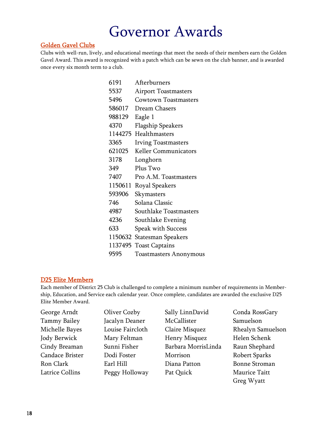### Governor Awards

#### Golden Gavel Clubs

Clubs with well-run, lively, and educational meetings that meet the needs of their members earn the Golden Gavel Award. This award is recognized with a patch which can be sewn on the club banner, and is awarded once every six month term to a club.

| 6191    | Afterburners                  |
|---------|-------------------------------|
| 5537    | <b>Airport Toastmasters</b>   |
| 5496    | <b>Cowtown Toastmasters</b>   |
| 586017  | Dream Chasers                 |
| 988129  | Eagle 1                       |
| 4370    | <b>Flagship Speakers</b>      |
| 1144275 | Healthmasters                 |
| 3365    | <b>Irving Toastmasters</b>    |
| 621025  | <b>Keller Communicators</b>   |
| 3178    | Longhorn                      |
| 349     | Plus Two                      |
| 7407    | Pro A.M. Toastmasters         |
| 1150611 | Royal Speakers                |
| 593906  | Skymasters                    |
| 746     | Solana Classic                |
| 4987    | Southlake Toastmasters        |
| 4236    | Southlake Evening             |
| 633     | <b>Speak with Success</b>     |
|         | 1150632 Statesman Speakers    |
|         | 1137495 Toast Captains        |
| 9595    | <b>Toastmasters Anonymous</b> |

#### D25 Elite Members

Each member of District 25 Club is challenged to complete a minimum number of requirements in Membership, Education, and Service each calendar year. Once complete, candidates are awarded the exclusive D25 Elite Member Award.

| George Arndt    | Oliver Cozby     | Sally LinnDavid     | Conda RossGary       |
|-----------------|------------------|---------------------|----------------------|
| Tammy Bailey    | Jacalyn Deaner   | McCallister         | Samuelson            |
| Michelle Bayes  | Louise Faircloth | Claire Misquez      | Rhealyn Samuelson    |
| Jody Berwick    | Mary Feltman     | Henry Misquez       | Helen Schenk         |
| Cindy Breaman   | Sunni Fisher     | Barbara MorrisLinda | Raun Shephard        |
| Candace Brister | Dodi Foster      | Morrison            | Robert Sparks        |
| Ron Clark       | Earl Hill        | Diana Patton        | <b>Bonne Stroman</b> |
| Latrice Collins | Peggy Holloway   | Pat Quick           | Maurice Taitt        |
|                 |                  |                     | Greg Wyatt           |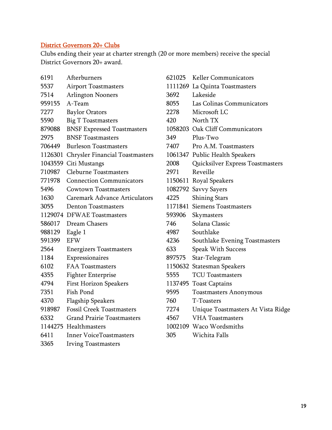#### District Governors 20+ Clubs

Clubs ending their year at charter strength (20 or more members) receive the special District Governors 20+ award.

| 6191    | Afterburners                           |
|---------|----------------------------------------|
| 5537    | <b>Airport Toastmasters</b>            |
| 7514    | <b>Arlington Nooners</b>               |
| 959155  | A-Team                                 |
| 7277    | <b>Baylor Orators</b>                  |
| 5590    | <b>Big T Toastmasters</b>              |
| 879088  | <b>BNSF Expressed Toastmasters</b>     |
| 2975    | <b>BNSF Toastmasters</b>               |
| 706449  | <b>Burleson Toastmasters</b>           |
| 1126301 | <b>Chrysler Financial Toastmasters</b> |
| 1043559 | Citi Mustangs                          |
| 710987  | <b>Cleburne Toastmasters</b>           |
| 771978  | <b>Connection Communicators</b>        |
| 5496    | <b>Cowtown Toastmasters</b>            |
| 1630    | <b>Caremark Advance Articulators</b>   |
| 3055    | <b>Denton Toastmasters</b>             |
| 1129074 | <b>DFWAE</b> Toastmasters              |
| 586017  | Dream Chasers                          |
| 988129  | Eagle 1                                |
| 591399  | <b>EFW</b>                             |
| 2564    | <b>Energizers Toastmasters</b>         |
| 1184    | Expressionaires                        |
| 6102    | <b>FAA Toastmasters</b>                |
| 4355    | <b>Fighter Enterprise</b>              |
| 4794    | <b>First Horizon Speakers</b>          |
| 7351    | <b>Fish Pond</b>                       |
| 4370    | <b>Flagship Speakers</b>               |
| 918987  | <b>Fossil Creek Toastmasters</b>       |
| 6332    | <b>Grand Prairie Toastmasters</b>      |
| 1144275 | Healthmasters                          |
| 6411    | <b>Inner VoiceToastmasters</b>         |
| 3365    | <b>Irving Toastmasters</b>             |

| 621025 | <b>Keller Communicators</b>        |
|--------|------------------------------------|
|        | 1111269 La Quinta Toastmasters     |
| 3692   | Lakeside                           |
| 8055   | Las Colinas Communicators          |
| 2278   | Microsoft LC                       |
| 420    | North TX                           |
|        | 1058203 Oak Cliff Communicators    |
| 349    | Plus-Two                           |
| 7407   | Pro A.M. Toastmasters              |
|        | 1061347 Public Health Speakers     |
| 2008   | Quicksilver Express Toastmasters   |
| 2971   | Reveille                           |
|        | 1150611 Royal Speakers             |
|        | 1082792 Savvy Sayers               |
| 4225   | <b>Shining Stars</b>               |
|        | 1171841 Siemens Toastmasters       |
| 593906 | Skymasters                         |
| 746    | Solana Classic                     |
| 4987   | Southlake                          |
| 4236   | Southlake Evening Toastmasters     |
| 633    | <b>Speak With Success</b>          |
| 897575 | Star-Telegram                      |
|        | 1150632 Statesman Speakers         |
| 5555   | <b>TCU Toastmasters</b>            |
|        | 1137495 Toast Captains             |
| 9595   | <b>Toastmasters Anonymous</b>      |
| 760    | T-Toasters                         |
| 7274   | Unique Toastmasters At Vista Ridge |
| 4567   | <b>VHA</b> Toastmasters            |
|        | 1002109 Waco Wordsmiths            |
| 305    | Wichita Falls                      |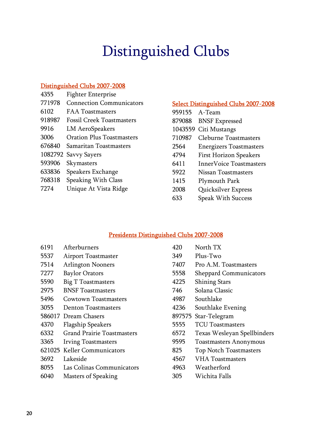# Distinguished Clubs

#### Distinguished Clubs 2007-2008

| 4355    | <b>Fighter Enterprise</b>        |
|---------|----------------------------------|
| 771978  | <b>Connection Communicators</b>  |
| 6102    | <b>FAA Toastmasters</b>          |
| 918987  | <b>Fossil Creek Toastmasters</b> |
| 9916    | <b>LM AeroSpeakers</b>           |
| 3006    | <b>Oration Plus Toastmasters</b> |
| 676840  | Samaritan Toastmasters           |
| 1082792 | Savvy Sayers                     |
| 593906  | Skymasters                       |
| 633836  | Speakers Exchange                |
| 768318  | <b>Speaking With Class</b>       |
| 7274    | Unique At Vista Ridge            |

#### Select Distinguished Clubs 2007-2008

| 959155 A-Team |                                |
|---------------|--------------------------------|
| 879088        | <b>BNSF Expressed</b>          |
| 1043559       | Citi Mustangs                  |
| 710987        | <b>Cleburne Toastmasters</b>   |
| 2564          | <b>Energizers Toastmasters</b> |
| 4794          | <b>First Horizon Speakers</b>  |
| 6411          | Inner Voice Toastmasters       |
| 5922          | Nissan Toastmasters            |
| 1415          | Plymouth Park                  |
| 2008          | Quicksilver Express            |
| 633           | <b>Speak With Success</b>      |

#### Presidents Distinguished Clubs 2007-2008

| 6191 | Afterburners                      | 420  | North TX                      |
|------|-----------------------------------|------|-------------------------------|
| 5537 | <b>Airport Toastmaster</b>        | 349  | Plus-Two                      |
| 7514 | <b>Arlington Nooners</b>          | 7407 | Pro A.M. Toastmasters         |
| 7277 | <b>Baylor Orators</b>             | 5558 | <b>Sheppard Communicators</b> |
| 5590 | <b>Big T Toastmasters</b>         | 4225 | <b>Shining Stars</b>          |
| 2975 | <b>BNSF Toastmasters</b>          | 746  | Solana Classic                |
| 5496 | Cowtown Toastmasters              | 4987 | Southlake                     |
| 3055 | <b>Denton Toastmasters</b>        | 4236 | Southlake Evening             |
|      | 586017 Dream Chasers              |      | 897575 Star-Telegram          |
| 4370 | <b>Flagship Speakers</b>          | 5555 | <b>TCU Toastmasters</b>       |
| 6332 | <b>Grand Prairie Toastmasters</b> | 6572 | Texas Wesleyan Spellbinders   |
| 3365 | <b>Irving Toastmasters</b>        | 9595 | <b>Toastmasters Anonymous</b> |
|      | 621025 Keller Communicators       | 825  | <b>Top Notch Toastmasters</b> |
| 3692 | Lakeside                          | 4567 | <b>VHA</b> Toastmasters       |
| 8055 | Las Colinas Communicators         | 4963 | Weatherford                   |
| 6040 | <b>Masters of Speaking</b>        | 305  | Wichita Falls                 |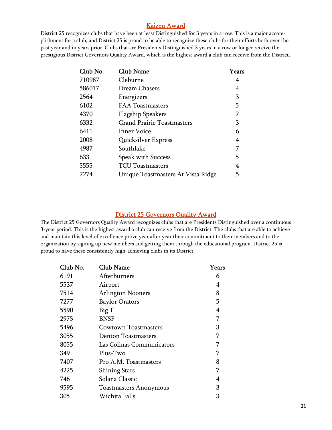#### Kaizen Award

District 25 recognizes clubs that have been at least Distinguished for 3 years in a row. This is a major accomplishment for a club, and District 25 is proud to be able to recognize these clubs for their efforts both over the past year and in years prior. Clubs that are Presidents Distinguished 3 years in a row or longer receive the prestigious District Governors Quality Award, which is the highest award a club can receive from the District.

| Club No. | <b>Club Name</b>                   | Years |
|----------|------------------------------------|-------|
| 710987   | Cleburne                           | 4     |
| 586017   | Dream Chasers                      | 4     |
| 2564     | Energizers                         | 3     |
| 6102     | <b>FAA Toastmasters</b>            | 5     |
| 4370     | <b>Flagship Speakers</b>           |       |
| 6332     | <b>Grand Prairie Toastmasters</b>  | 3     |
| 6411     | Inner Voice                        | 6     |
| 2008     | Quicksilver Express                | 4     |
| 4987     | Southlake                          | 7     |
| 633      | Speak with Success                 | 5     |
| 5555     | <b>TCU Toastmasters</b>            | 4     |
| 7274     | Unique Toastmasters At Vista Ridge | 5     |

#### District 25 Governors Quality Award

The District 25 Governors Quality Award recognizes clubs that are Presidents Distinguished over a continuous 3-year period. This is the highest award a club can receive from the District. The clubs that are able to achieve and maintain this level of excellence prove year after year their commitment to their members and to the organization by signing up new members and getting them through the educational program. District 25 is proud to have these consistently high-achieving clubs in its District.

| Club No. | Club Name                     | Years          |
|----------|-------------------------------|----------------|
| 6191     | Afterburners                  | 6              |
| 5537     | Airport                       | 4              |
| 7514     | <b>Arlington Nooners</b>      | 8              |
| 7277     | <b>Baylor Orators</b>         | 5              |
| 5590     | Big T                         | $\overline{4}$ |
| 2975     | <b>BNSF</b>                   | 7              |
| 5496     | Cowtown Toastmasters          | 3              |
| 3055     | <b>Denton Toastmasters</b>    | 7              |
| 8055     | Las Colinas Communicators     | 7              |
| 349      | Plus-Two                      | 7              |
| 7407     | Pro A.M. Toastmasters         | 8              |
| 4225     | <b>Shining Stars</b>          | 7              |
| 746      | Solana Classic                | 4              |
| 9595     | <b>Toastmasters Anonymous</b> | 3              |
| 305      | Wichita Falls                 | 3              |
|          |                               |                |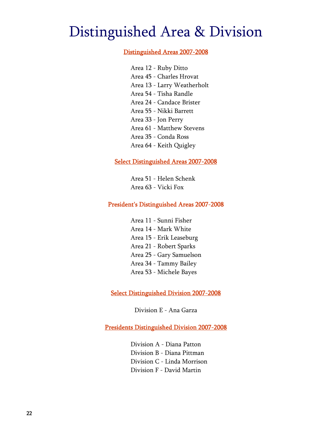### Distinguished Area & Division

#### Distinguished Areas 2007-2008

Area 12 - Ruby Ditto Area 45 - Charles Hrovat Area 13 - Larry Weatherholt Area 54 - Tisha Randle Area 24 - Candace Brister Area 55 - Nikki Barrett Area 33 - Jon Perry Area 61 - Matthew Stevens Area 35 - Conda Ross Area 64 - Keith Quigley

#### Select Distinguished Areas 2007-2008

Area 51 - Helen Schenk Area 63 - Vicki Fox

#### President's Distinguished Areas 2007-2008

Area 11 - Sunni Fisher Area 14 - Mark White Area 15 - Erik Leaseburg Area 21 - Robert Sparks Area 25 - Gary Samuelson Area 34 - Tammy Bailey Area 53 - Michele Bayes

Select Distinguished Division 2007-2008

Division E - Ana Garza

Presidents Distinguished Division 2007-2008

Division A - Diana Patton Division B - Diana Pittman Division C - Linda Morrison Division F - David Martin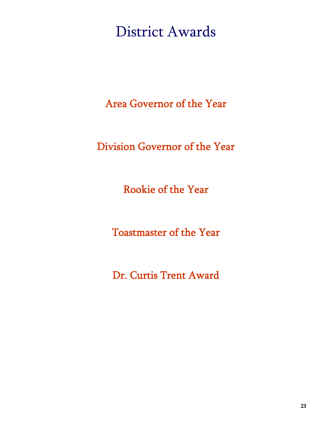District Awards

Area Governor of the Year

Division Governor of the Year

Rookie of the Year

Toastmaster of the Year

Dr. Curtis Trent Award